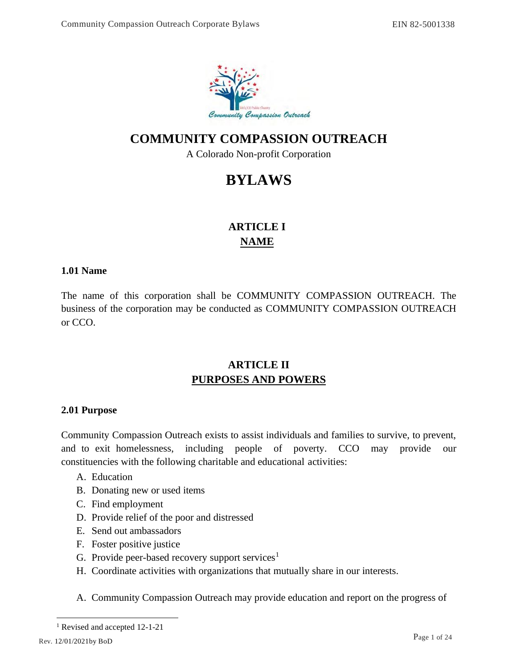

# **COMMUNITY COMPASSION OUTREACH**

A Colorado Non-profit Corporation

# **BYLAWS**

# **ARTICLE I NAME**

### **1.01 Name**

The name of this corporation shall be COMMUNITY COMPASSION OUTREACH. The business of the corporation may be conducted as COMMUNITY COMPASSION OUTREACH or CCO.

### **ARTICLE II PURPOSES AND POWERS**

### **2.01 Purpose**

Community Compassion Outreach exists to assist individuals and families to survive, to prevent, and to exit homelessness, including people of poverty. CCO may provide our constituencies with the following charitable and educational activities:

- A. Education
- B. Donating new or used items
- C. Find employment
- D. Provide relief of the poor and distressed
- E. Send out ambassadors
- F. Foster positive justice
- G. Provide peer-based recovery support services<sup>1</sup>
- H. Coordinate activities with organizations that mutually share in our interests.
- A. Community Compassion Outreach may provide education and report on the progress of

<sup>1</sup> Revised and accepted 12-1-21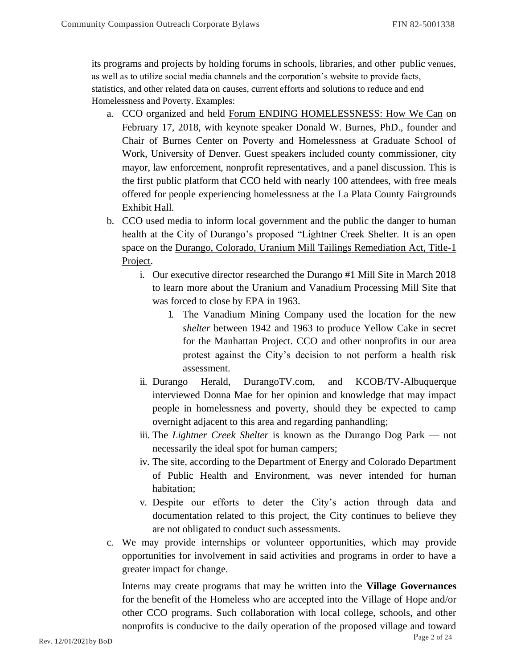its programs and projects by holding forums in schools, libraries, and other public venues, as well as to utilize social media channels and the corporation's website to provide facts, statistics, and other related data on causes, current efforts and solutions to reduce and end Homelessness and Poverty. Examples:

- a. CCO organized and held Forum ENDING HOMELESSNESS: How We Can on February 17, 2018, with keynote speaker Donald W. Burnes, PhD., founder and Chair of Burnes Center on Poverty and Homelessness at Graduate School of Work, University of Denver. Guest speakers included county commissioner, city mayor, law enforcement, nonprofit representatives, and a panel discussion. This is the first public platform that CCO held with nearly 100 attendees, with free meals offered for people experiencing homelessness at the La Plata County Fairgrounds Exhibit Hall.
- b. CCO used media to inform local government and the public the danger to human health at the City of Durango's proposed "Lightner Creek Shelter. It is an open space on the Durango, Colorado, Uranium Mill Tailings Remediation Act, Title-1 Project.
	- i. Our executive director researched the Durango #1 Mill Site in March 2018 to learn more about the Uranium and Vanadium Processing Mill Site that was forced to close by EPA in 1963.
		- 1. The Vanadium Mining Company used the location for the new *shelter* between 1942 and 1963 to produce Yellow Cake in secret for the Manhattan Project. CCO and other nonprofits in our area protest against the City's decision to not perform a health risk assessment.
	- ii. Durango Herald, DurangoTV.com, and KCOB/TV-Albuquerque interviewed Donna Mae for her opinion and knowledge that may impact people in homelessness and poverty, should they be expected to camp overnight adjacent to this area and regarding panhandling;
	- iii. The *Lightner Creek Shelter* is known as the Durango Dog Park not necessarily the ideal spot for human campers;
	- iv. The site, according to the Department of Energy and Colorado Department of Public Health and Environment, was never intended for human habitation;
	- v. Despite our efforts to deter the City's action through data and documentation related to this project, the City continues to believe they are not obligated to conduct such assessments.
- c. We may provide internships or volunteer opportunities, which may provide opportunities for involvement in said activities and programs in order to have a greater impact for change.

Interns may create programs that may be written into the **Village Governances**  for the benefit of the Homeless who are accepted into the Village of Hope and/or other CCO programs. Such collaboration with local college, schools, and other nonprofits is conducive to the daily operation of the proposed village and toward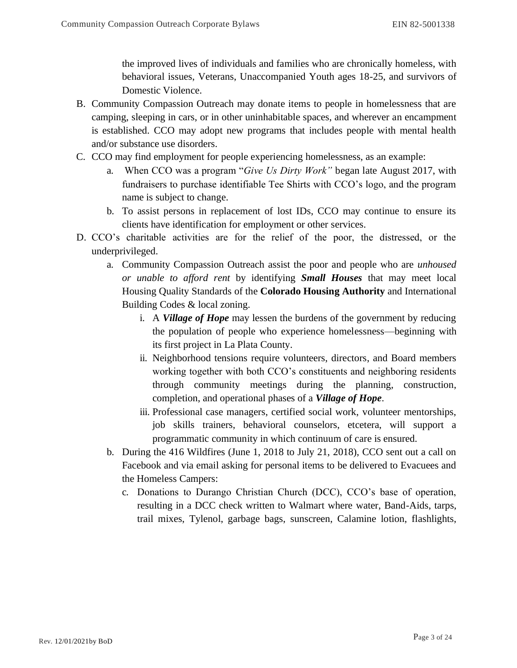the improved lives of individuals and families who are chronically homeless, with behavioral issues, Veterans, Unaccompanied Youth ages 18-25, and survivors of Domestic Violence.

- B. Community Compassion Outreach may donate items to people in homelessness that are camping, sleeping in cars, or in other uninhabitable spaces, and wherever an encampment is established. CCO may adopt new programs that includes people with mental health and/or substance use disorders.
- C. CCO may find employment for people experiencing homelessness, as an example:
	- a. When CCO was a program "*Give Us Dirty Work"* began late August 2017, with fundraisers to purchase identifiable Tee Shirts with CCO's logo, and the program name is subject to change.
	- b. To assist persons in replacement of lost IDs, CCO may continue to ensure its clients have identification for employment or other services.
- D. CCO's charitable activities are for the relief of the poor, the distressed, or the underprivileged.
	- a. Community Compassion Outreach assist the poor and people who are *unhoused or unable to afford rent* by identifying *Small Houses* that may meet local Housing Quality Standards of the **Colorado Housing Authority** and International Building Codes & local zoning.
		- i. A *Village of Hope* may lessen the burdens of the government by reducing the population of people who experience homelessness—beginning with its first project in La Plata County.
		- ii. Neighborhood tensions require volunteers, directors, and Board members working together with both CCO's constituents and neighboring residents through community meetings during the planning, construction, completion, and operational phases of a *Village of Hope*.
		- iii. Professional case managers, certified social work, volunteer mentorships, job skills trainers, behavioral counselors, etcetera, will support a programmatic community in which continuum of care is ensured.
	- b. During the 416 Wildfires (June 1, 2018 to July 21, 2018), CCO sent out a call on Facebook and via email asking for personal items to be delivered to Evacuees and the Homeless Campers:
		- c. Donations to Durango Christian Church (DCC), CCO's base of operation, resulting in a DCC check written to Walmart where water, Band-Aids, tarps, trail mixes, Tylenol, garbage bags, sunscreen, Calamine lotion, flashlights,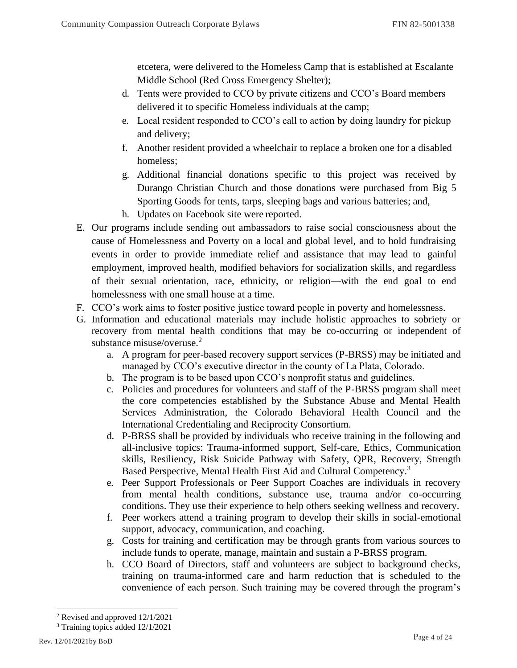etcetera, were delivered to the Homeless Camp that is established at Escalante Middle School (Red Cross Emergency Shelter);

- d. Tents were provided to CCO by private citizens and CCO's Board members delivered it to specific Homeless individuals at the camp;
- e. Local resident responded to CCO's call to action by doing laundry for pickup and delivery;
- f. Another resident provided a wheelchair to replace a broken one for a disabled homeless;
- g. Additional financial donations specific to this project was received by Durango Christian Church and those donations were purchased from Big 5 Sporting Goods for tents, tarps, sleeping bags and various batteries; and,
- h. Updates on Facebook site were reported.
- E. Our programs include sending out ambassadors to raise social consciousness about the cause of Homelessness and Poverty on a local and global level, and to hold fundraising events in order to provide immediate relief and assistance that may lead to gainful employment, improved health, modified behaviors for socialization skills, and regardless of their sexual orientation, race, ethnicity, or religion—with the end goal to end homelessness with one small house at a time.
- F. CCO's work aims to foster positive justice toward people in poverty and homelessness.
- G. Information and educational materials may include holistic approaches to sobriety or recovery from mental health conditions that may be co-occurring or independent of substance misuse/overuse.<sup>2</sup>
	- a. A program for peer-based recovery support services (P-BRSS) may be initiated and managed by CCO's executive director in the county of La Plata, Colorado.
	- b. The program is to be based upon CCO's nonprofit status and guidelines.
	- c. Policies and procedures for volunteers and staff of the P-BRSS program shall meet the core competencies established by the Substance Abuse and Mental Health Services Administration, the Colorado Behavioral Health Council and the International Credentialing and Reciprocity Consortium.
	- d. P-BRSS shall be provided by individuals who receive training in the following and all-inclusive topics: Trauma-informed support, Self-care, Ethics, Communication skills, Resiliency, Risk Suicide Pathway with Safety, QPR, Recovery, Strength Based Perspective, Mental Health First Aid and Cultural Competency.<sup>3</sup>
	- e. Peer Support Professionals or Peer Support Coaches are individuals in recovery from mental health conditions, substance use, trauma and/or co-occurring conditions. They use their experience to help others seeking wellness and recovery.
	- f. Peer workers attend a training program to develop their skills in social-emotional support, advocacy, communication, and coaching.
	- g. Costs for training and certification may be through grants from various sources to include funds to operate, manage, maintain and sustain a P-BRSS program.
	- h. CCO Board of Directors, staff and volunteers are subject to background checks, training on trauma-informed care and harm reduction that is scheduled to the convenience of each person. Such training may be covered through the program's

<sup>2</sup> Revised and approved 12/1/2021

<sup>3</sup> Training topics added 12/1/2021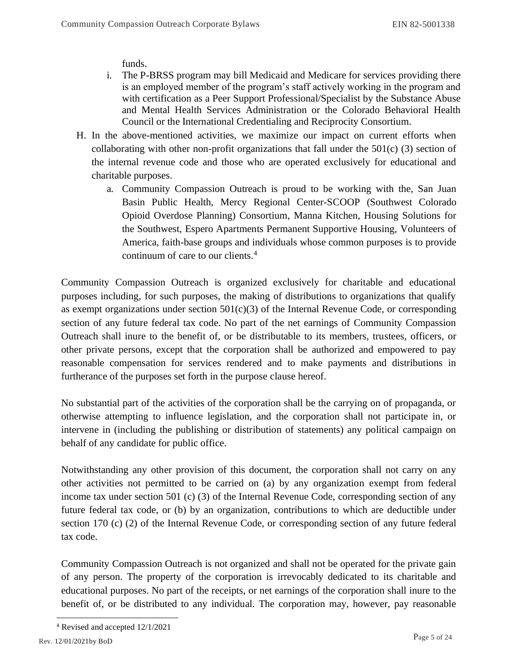funds.

- i. The P-BRSS program may bill Medicaid and Medicare for services providing there is an employed member of the program's staff actively working in the program and with certification as a Peer Support Professional/Specialist by the Substance Abuse and Mental Health Services Administration or the Colorado Behavioral Health Council or the International Credentialing and Reciprocity Consortium.
- H. In the above-mentioned activities, we maximize our impact on current efforts when collaborating with other non-profit organizations that fall under the  $501(c)$  (3) section of the internal revenue code and those who are operated exclusively for educational and charitable purposes.
	- a. Community Compassion Outreach is proud to be working with the, San Juan Basin Public Health, Mercy Regional Center-SCOOP (Southwest Colorado Opioid Overdose Planning) Consortium, Manna Kitchen, Housing Solutions for the Southwest, Espero Apartments Permanent Supportive Housing, Volunteers of America, faith-base groups and individuals whose common purposes is to provide continuum of care to our clients.<sup>4</sup>

Community Compassion Outreach is organized exclusively for charitable and educational purposes including, for such purposes, the making of distributions to organizations that qualify as exempt organizations under section  $501(c)(3)$  of the Internal Revenue Code, or corresponding section of any future federal tax code. No part of the net earnings of Community Compassion Outreach shall inure to the benefit of, or be distributable to its members, trustees, officers, or other private persons, except that the corporation shall be authorized and empowered to pay reasonable compensation for services rendered and to make payments and distributions in furtherance of the purposes set forth in the purpose clause hereof.

No substantial part of the activities of the corporation shall be the carrying on of propaganda, or otherwise attempting to influence legislation, and the corporation shall not participate in, or intervene in (including the publishing or distribution of statements) any political campaign on behalf of any candidate for public office.

Notwithstanding any other provision of this document, the corporation shall not carry on any other activities not permitted to be carried on (a) by any organization exempt from federal income tax under section 501 (c) (3) of the Internal Revenue Code, corresponding section of any future federal tax code, or (b) by an organization, contributions to which are deductible under section 170 (c) (2) of the Internal Revenue Code, or corresponding section of any future federal tax code.

Community Compassion Outreach is not organized and shall not be operated for the private gain of any person. The property of the corporation is irrevocably dedicated to its charitable and educational purposes. No part of the receipts, or net earnings of the corporation shall inure to the benefit of, or be distributed to any individual. The corporation may, however, pay reasonable

<sup>4</sup> Revised and accepted 12/1/2021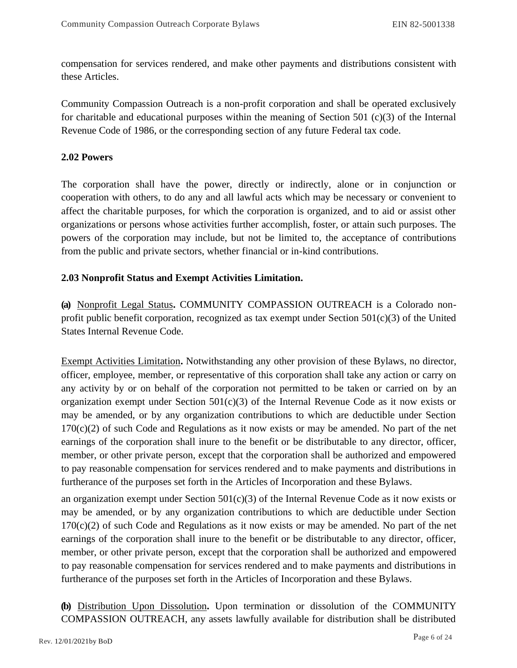compensation for services rendered, and make other payments and distributions consistent with these Articles.

Community Compassion Outreach is a non-profit corporation and shall be operated exclusively for charitable and educational purposes within the meaning of Section 501 (c)(3) of the Internal Revenue Code of 1986, or the corresponding section of any future Federal tax code.

### **2.02 Powers**

The corporation shall have the power, directly or indirectly, alone or in conjunction or cooperation with others, to do any and all lawful acts which may be necessary or convenient to affect the charitable purposes, for which the corporation is organized, and to aid or assist other organizations or persons whose activities further accomplish, foster, or attain such purposes. The powers of the corporation may include, but not be limited to, the acceptance of contributions from the public and private sectors, whether financial or in-kind contributions.

### **2.03 Nonprofit Status and Exempt Activities Limitation.**

**(a)** Nonprofit Legal Status**.** COMMUNITY COMPASSION OUTREACH is a Colorado nonprofit public benefit corporation, recognized as tax exempt under Section 501(c)(3) of the United States Internal Revenue Code.

Exempt Activities Limitation**.** Notwithstanding any other provision of these Bylaws, no director, officer, employee, member, or representative of this corporation shall take any action or carry on any activity by or on behalf of the corporation not permitted to be taken or carried on by an organization exempt under Section  $501(c)(3)$  of the Internal Revenue Code as it now exists or may be amended, or by any organization contributions to which are deductible under Section  $170(c)(2)$  of such Code and Regulations as it now exists or may be amended. No part of the net earnings of the corporation shall inure to the benefit or be distributable to any director, officer, member, or other private person, except that the corporation shall be authorized and empowered to pay reasonable compensation for services rendered and to make payments and distributions in furtherance of the purposes set forth in the Articles of Incorporation and these Bylaws.

an organization exempt under Section  $501(c)(3)$  of the Internal Revenue Code as it now exists or may be amended, or by any organization contributions to which are deductible under Section  $170(c)(2)$  of such Code and Regulations as it now exists or may be amended. No part of the net earnings of the corporation shall inure to the benefit or be distributable to any director, officer, member, or other private person, except that the corporation shall be authorized and empowered to pay reasonable compensation for services rendered and to make payments and distributions in furtherance of the purposes set forth in the Articles of Incorporation and these Bylaws.

**(b)** Distribution Upon Dissolution**.** Upon termination or dissolution of the COMMUNITY COMPASSION OUTREACH, any assets lawfully available for distribution shall be distributed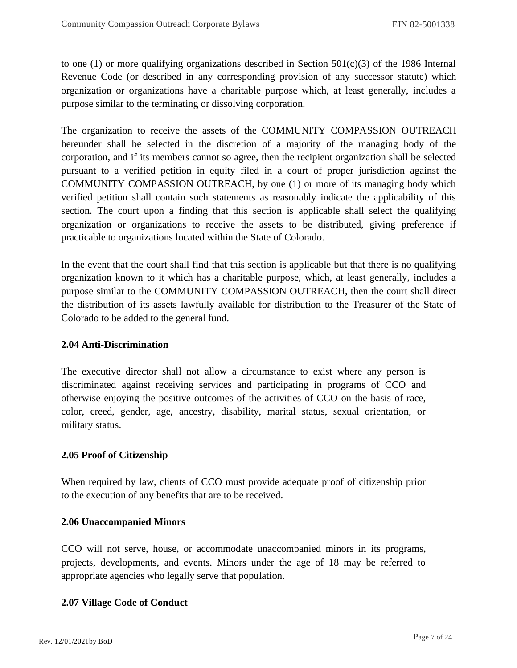to one  $(1)$  or more qualifying organizations described in Section  $501(c)(3)$  of the 1986 Internal Revenue Code (or described in any corresponding provision of any successor statute) which organization or organizations have a charitable purpose which, at least generally, includes a purpose similar to the terminating or dissolving corporation.

The organization to receive the assets of the COMMUNITY COMPASSION OUTREACH hereunder shall be selected in the discretion of a majority of the managing body of the corporation, and if its members cannot so agree, then the recipient organization shall be selected pursuant to a verified petition in equity filed in a court of proper jurisdiction against the COMMUNITY COMPASSION OUTREACH, by one (1) or more of its managing body which verified petition shall contain such statements as reasonably indicate the applicability of this section. The court upon a finding that this section is applicable shall select the qualifying organization or organizations to receive the assets to be distributed, giving preference if practicable to organizations located within the State of Colorado.

In the event that the court shall find that this section is applicable but that there is no qualifying organization known to it which has a charitable purpose, which, at least generally, includes a purpose similar to the COMMUNITY COMPASSION OUTREACH, then the court shall direct the distribution of its assets lawfully available for distribution to the Treasurer of the State of Colorado to be added to the general fund.

### **2.04 Anti-Discrimination**

The executive director shall not allow a circumstance to exist where any person is discriminated against receiving services and participating in programs of CCO and otherwise enjoying the positive outcomes of the activities of CCO on the basis of race, color, creed, gender, age, ancestry, disability, marital status, sexual orientation, or military status.

### **2.05 Proof of Citizenship**

When required by law, clients of CCO must provide adequate proof of citizenship prior to the execution of any benefits that are to be received.

### **2.06 Unaccompanied Minors**

CCO will not serve, house, or accommodate unaccompanied minors in its programs, projects, developments, and events. Minors under the age of 18 may be referred to appropriate agencies who legally serve that population.

### **2.07 Village Code of Conduct**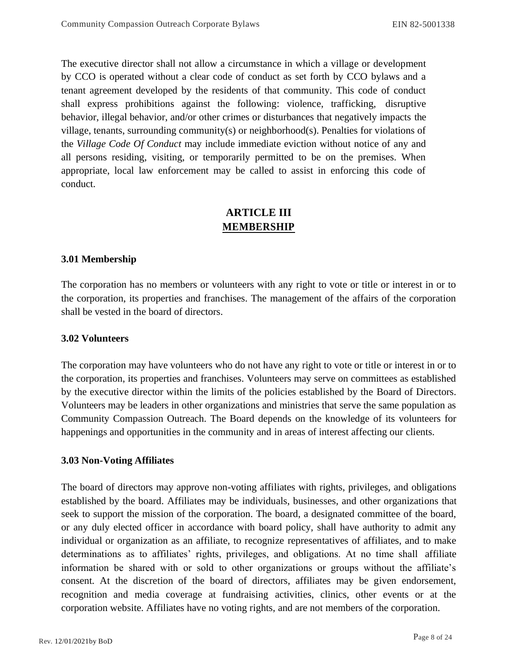The executive director shall not allow a circumstance in which a village or development by CCO is operated without a clear code of conduct as set forth by CCO bylaws and a tenant agreement developed by the residents of that community. This code of conduct shall express prohibitions against the following: violence, trafficking, disruptive behavior, illegal behavior, and/or other crimes or disturbances that negatively impacts the village, tenants, surrounding community(s) or neighborhood(s). Penalties for violations of the *Village Code Of Conduct* may include immediate eviction without notice of any and all persons residing, visiting, or temporarily permitted to be on the premises. When appropriate, local law enforcement may be called to assist in enforcing this code of conduct.

### **ARTICLE III MEMBERSHIP**

### **3.01 Membership**

The corporation has no members or volunteers with any right to vote or title or interest in or to the corporation, its properties and franchises. The management of the affairs of the corporation shall be vested in the board of directors.

### **3.02 Volunteers**

The corporation may have volunteers who do not have any right to vote or title or interest in or to the corporation, its properties and franchises. Volunteers may serve on committees as established by the executive director within the limits of the policies established by the Board of Directors. Volunteers may be leaders in other organizations and ministries that serve the same population as Community Compassion Outreach. The Board depends on the knowledge of its volunteers for happenings and opportunities in the community and in areas of interest affecting our clients.

### **3.03 Non-Voting Affiliates**

The board of directors may approve non-voting affiliates with rights, privileges, and obligations established by the board. Affiliates may be individuals, businesses, and other organizations that seek to support the mission of the corporation. The board, a designated committee of the board, or any duly elected officer in accordance with board policy, shall have authority to admit any individual or organization as an affiliate, to recognize representatives of affiliates, and to make determinations as to affiliates' rights, privileges, and obligations. At no time shall affiliate information be shared with or sold to other organizations or groups without the affiliate's consent. At the discretion of the board of directors, affiliates may be given endorsement, recognition and media coverage at fundraising activities, clinics, other events or at the corporation website. Affiliates have no voting rights, and are not members of the corporation.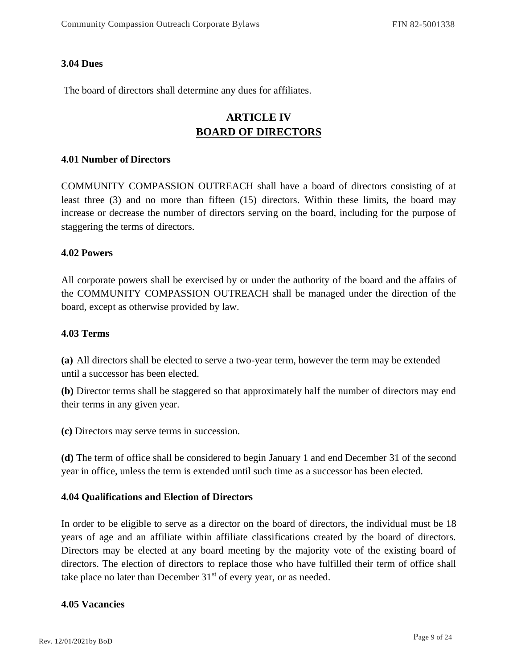### **3.04 Dues**

The board of directors shall determine any dues for affiliates.

### **ARTICLE IV BOARD OF DIRECTORS**

#### **4.01 Number of Directors**

COMMUNITY COMPASSION OUTREACH shall have a board of directors consisting of at least three (3) and no more than fifteen (15) directors. Within these limits, the board may increase or decrease the number of directors serving on the board, including for the purpose of staggering the terms of directors.

#### **4.02 Powers**

All corporate powers shall be exercised by or under the authority of the board and the affairs of the COMMUNITY COMPASSION OUTREACH shall be managed under the direction of the board, except as otherwise provided by law.

#### **4.03 Terms**

**(a)** All directors shall be elected to serve a two-year term, however the term may be extended until a successor has been elected.

**(b)** Director terms shall be staggered so that approximately half the number of directors may end their terms in any given year.

**(c)** Directors may serve terms in succession.

**(d)** The term of office shall be considered to begin January 1 and end December 31 of the second year in office, unless the term is extended until such time as a successor has been elected.

### **4.04 Qualifications and Election of Directors**

In order to be eligible to serve as a director on the board of directors, the individual must be 18 years of age and an affiliate within affiliate classifications created by the board of directors. Directors may be elected at any board meeting by the majority vote of the existing board of directors. The election of directors to replace those who have fulfilled their term of office shall take place no later than December  $31<sup>st</sup>$  of every year, or as needed.

#### **4.05 Vacancies**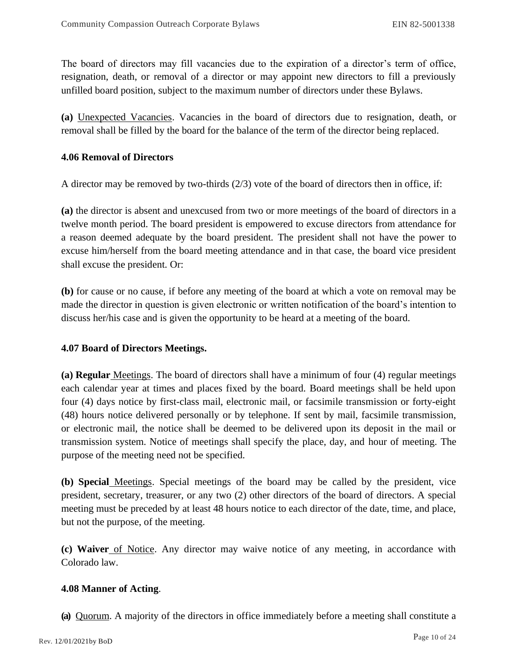The board of directors may fill vacancies due to the expiration of a director's term of office, resignation, death, or removal of a director or may appoint new directors to fill a previously unfilled board position, subject to the maximum number of directors under these Bylaws.

**(a)** Unexpected Vacancies. Vacancies in the board of directors due to resignation, death, or removal shall be filled by the board for the balance of the term of the director being replaced.

### **4.06 Removal of Directors**

A director may be removed by two-thirds (2/3) vote of the board of directors then in office, if:

**(a)** the director is absent and unexcused from two or more meetings of the board of directors in a twelve month period. The board president is empowered to excuse directors from attendance for a reason deemed adequate by the board president. The president shall not have the power to excuse him/herself from the board meeting attendance and in that case, the board vice president shall excuse the president. Or:

**(b)** for cause or no cause, if before any meeting of the board at which a vote on removal may be made the director in question is given electronic or written notification of the board's intention to discuss her/his case and is given the opportunity to be heard at a meeting of the board.

### **4.07 Board of Directors Meetings.**

**(a) Regular** Meetings. The board of directors shall have a minimum of four (4) regular meetings each calendar year at times and places fixed by the board. Board meetings shall be held upon four (4) days notice by first-class mail, electronic mail, or facsimile transmission or forty-eight (48) hours notice delivered personally or by telephone. If sent by mail, facsimile transmission, or electronic mail, the notice shall be deemed to be delivered upon its deposit in the mail or transmission system. Notice of meetings shall specify the place, day, and hour of meeting. The purpose of the meeting need not be specified.

**(b) Special** Meetings. Special meetings of the board may be called by the president, vice president, secretary, treasurer, or any two (2) other directors of the board of directors. A special meeting must be preceded by at least 48 hours notice to each director of the date, time, and place, but not the purpose, of the meeting.

**(c) Waiver** of Notice. Any director may waive notice of any meeting, in accordance with Colorado law.

### **4.08 Manner of Acting**.

**(a)** Quorum. A majority of the directors in office immediately before a meeting shall constitute a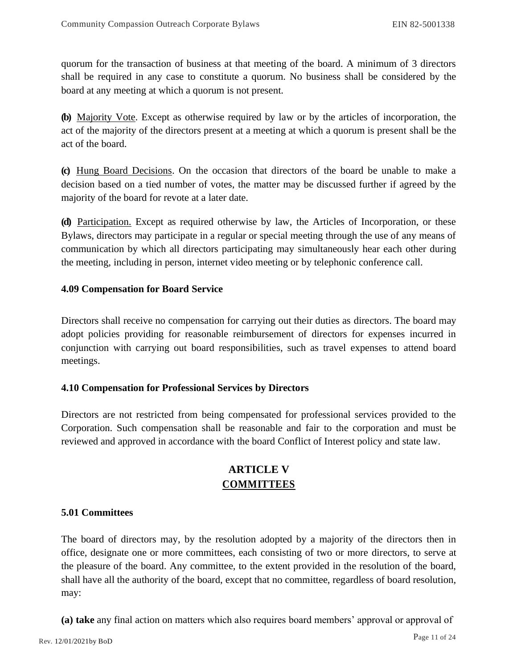quorum for the transaction of business at that meeting of the board. A minimum of 3 directors shall be required in any case to constitute a quorum. No business shall be considered by the board at any meeting at which a quorum is not present.

**(b)** Majority Vote. Except as otherwise required by law or by the articles of incorporation, the act of the majority of the directors present at a meeting at which a quorum is present shall be the act of the board.

**(c)** Hung Board Decisions. On the occasion that directors of the board be unable to make a decision based on a tied number of votes, the matter may be discussed further if agreed by the majority of the board for revote at a later date.

**(d)** Participation. Except as required otherwise by law, the Articles of Incorporation, or these Bylaws, directors may participate in a regular or special meeting through the use of any means of communication by which all directors participating may simultaneously hear each other during the meeting, including in person, internet video meeting or by telephonic conference call.

### **4.09 Compensation for Board Service**

Directors shall receive no compensation for carrying out their duties as directors. The board may adopt policies providing for reasonable reimbursement of directors for expenses incurred in conjunction with carrying out board responsibilities, such as travel expenses to attend board meetings.

### **4.10 Compensation for Professional Services by Directors**

Directors are not restricted from being compensated for professional services provided to the Corporation. Such compensation shall be reasonable and fair to the corporation and must be reviewed and approved in accordance with the board Conflict of Interest policy and state law.

### **ARTICLE V COMMITTEES**

### **5.01 Committees**

The board of directors may, by the resolution adopted by a majority of the directors then in office, designate one or more committees, each consisting of two or more directors, to serve at the pleasure of the board. Any committee, to the extent provided in the resolution of the board, shall have all the authority of the board, except that no committee, regardless of board resolution, may:

**(a) take** any final action on matters which also requires board members' approval or approval of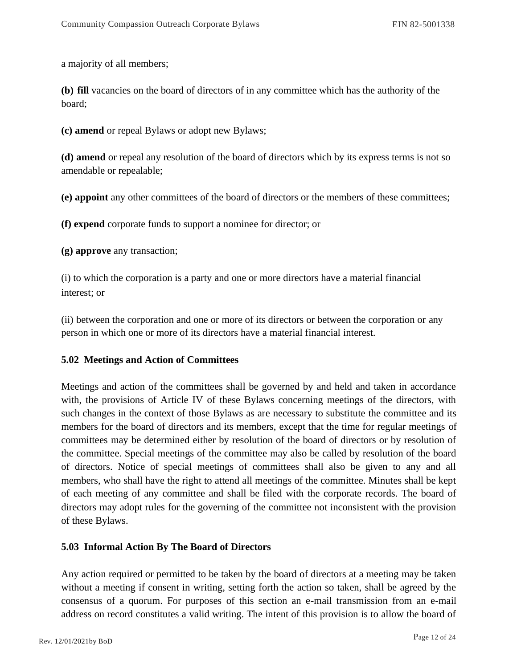a majority of all members;

**(b) fill** vacancies on the board of directors of in any committee which has the authority of the board;

**(c) amend** or repeal Bylaws or adopt new Bylaws;

**(d) amend** or repeal any resolution of the board of directors which by its express terms is not so amendable or repealable;

**(e) appoint** any other committees of the board of directors or the members of these committees;

**(f) expend** corporate funds to support a nominee for director; or

**(g) approve** any transaction;

(i) to which the corporation is a party and one or more directors have a material financial interest; or

(ii) between the corporation and one or more of its directors or between the corporation or any person in which one or more of its directors have a material financial interest.

### **5.02 Meetings and Action of Committees**

Meetings and action of the committees shall be governed by and held and taken in accordance with, the provisions of Article IV of these Bylaws concerning meetings of the directors, with such changes in the context of those Bylaws as are necessary to substitute the committee and its members for the board of directors and its members, except that the time for regular meetings of committees may be determined either by resolution of the board of directors or by resolution of the committee. Special meetings of the committee may also be called by resolution of the board of directors. Notice of special meetings of committees shall also be given to any and all members, who shall have the right to attend all meetings of the committee. Minutes shall be kept of each meeting of any committee and shall be filed with the corporate records. The board of directors may adopt rules for the governing of the committee not inconsistent with the provision of these Bylaws.

### **5.03 Informal Action By The Board of Directors**

Any action required or permitted to be taken by the board of directors at a meeting may be taken without a meeting if consent in writing, setting forth the action so taken, shall be agreed by the consensus of a quorum. For purposes of this section an e-mail transmission from an e-mail address on record constitutes a valid writing. The intent of this provision is to allow the board of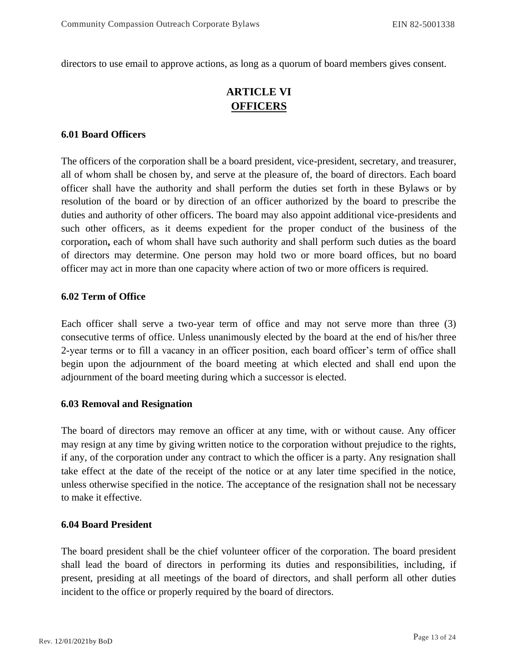directors to use email to approve actions, as long as a quorum of board members gives consent.

### **ARTICLE VI OFFICERS**

#### **6.01 Board Officers**

The officers of the corporation shall be a board president, vice-president, secretary, and treasurer, all of whom shall be chosen by, and serve at the pleasure of, the board of directors. Each board officer shall have the authority and shall perform the duties set forth in these Bylaws or by resolution of the board or by direction of an officer authorized by the board to prescribe the duties and authority of other officers. The board may also appoint additional vice-presidents and such other officers, as it deems expedient for the proper conduct of the business of the corporation**,** each of whom shall have such authority and shall perform such duties as the board of directors may determine. One person may hold two or more board offices, but no board officer may act in more than one capacity where action of two or more officers is required.

#### **6.02 Term of Office**

Each officer shall serve a two-year term of office and may not serve more than three (3) consecutive terms of office. Unless unanimously elected by the board at the end of his/her three 2-year terms or to fill a vacancy in an officer position, each board officer's term of office shall begin upon the adjournment of the board meeting at which elected and shall end upon the adjournment of the board meeting during which a successor is elected.

#### **6.03 Removal and Resignation**

The board of directors may remove an officer at any time, with or without cause. Any officer may resign at any time by giving written notice to the corporation without prejudice to the rights, if any, of the corporation under any contract to which the officer is a party. Any resignation shall take effect at the date of the receipt of the notice or at any later time specified in the notice, unless otherwise specified in the notice. The acceptance of the resignation shall not be necessary to make it effective.

#### **6.04 Board President**

The board president shall be the chief volunteer officer of the corporation. The board president shall lead the board of directors in performing its duties and responsibilities, including, if present, presiding at all meetings of the board of directors, and shall perform all other duties incident to the office or properly required by the board of directors.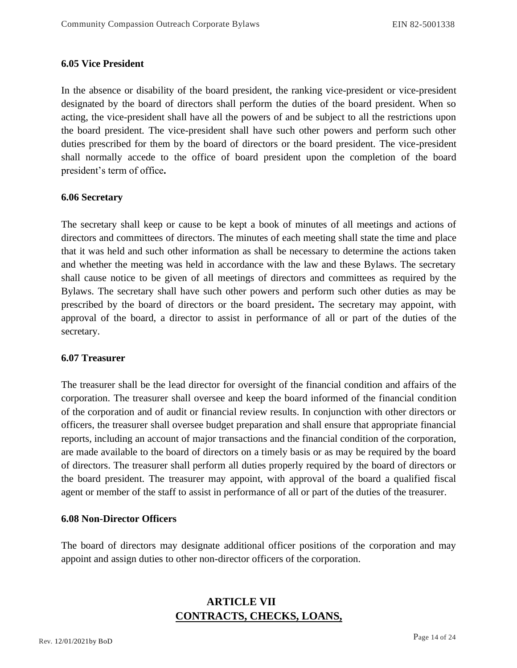### **6.05 Vice President**

In the absence or disability of the board president, the ranking vice-president or vice-president designated by the board of directors shall perform the duties of the board president. When so acting, the vice-president shall have all the powers of and be subject to all the restrictions upon the board president. The vice-president shall have such other powers and perform such other duties prescribed for them by the board of directors or the board president. The vice-president shall normally accede to the office of board president upon the completion of the board president's term of office**.**

### **6.06 Secretary**

The secretary shall keep or cause to be kept a book of minutes of all meetings and actions of directors and committees of directors. The minutes of each meeting shall state the time and place that it was held and such other information as shall be necessary to determine the actions taken and whether the meeting was held in accordance with the law and these Bylaws. The secretary shall cause notice to be given of all meetings of directors and committees as required by the Bylaws. The secretary shall have such other powers and perform such other duties as may be prescribed by the board of directors or the board president**.** The secretary may appoint, with approval of the board, a director to assist in performance of all or part of the duties of the secretary.

#### **6.07 Treasurer**

The treasurer shall be the lead director for oversight of the financial condition and affairs of the corporation. The treasurer shall oversee and keep the board informed of the financial condition of the corporation and of audit or financial review results. In conjunction with other directors or officers, the treasurer shall oversee budget preparation and shall ensure that appropriate financial reports, including an account of major transactions and the financial condition of the corporation, are made available to the board of directors on a timely basis or as may be required by the board of directors. The treasurer shall perform all duties properly required by the board of directors or the board president. The treasurer may appoint, with approval of the board a qualified fiscal agent or member of the staff to assist in performance of all or part of the duties of the treasurer.

#### **6.08 Non-Director Officers**

The board of directors may designate additional officer positions of the corporation and may appoint and assign duties to other non-director officers of the corporation.

## **ARTICLE VII CONTRACTS, CHECKS, LOANS,**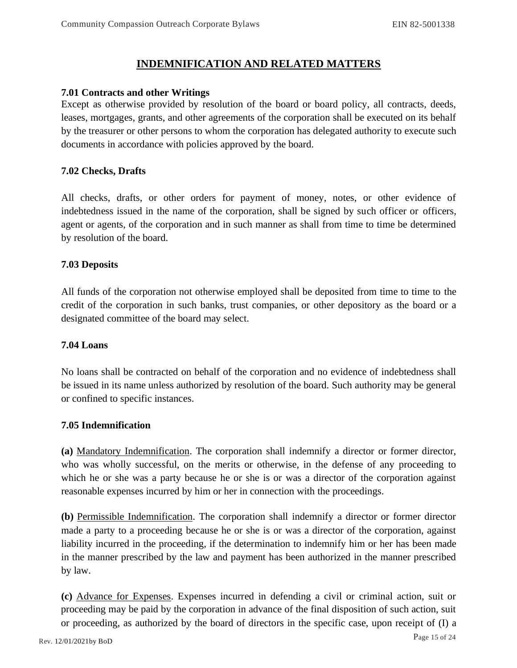### **INDEMNIFICATION AND RELATED MATTERS**

### **7.01 Contracts and other Writings**

Except as otherwise provided by resolution of the board or board policy, all contracts, deeds, leases, mortgages, grants, and other agreements of the corporation shall be executed on its behalf by the treasurer or other persons to whom the corporation has delegated authority to execute such documents in accordance with policies approved by the board.

### **7.02 Checks, Drafts**

All checks, drafts, or other orders for payment of money, notes, or other evidence of indebtedness issued in the name of the corporation, shall be signed by such officer or officers, agent or agents, of the corporation and in such manner as shall from time to time be determined by resolution of the board.

### **7.03 Deposits**

All funds of the corporation not otherwise employed shall be deposited from time to time to the credit of the corporation in such banks, trust companies, or other depository as the board or a designated committee of the board may select.

### **7.04 Loans**

No loans shall be contracted on behalf of the corporation and no evidence of indebtedness shall be issued in its name unless authorized by resolution of the board. Such authority may be general or confined to specific instances.

### **7.05 Indemnification**

**(a)** Mandatory Indemnification. The corporation shall indemnify a director or former director, who was wholly successful, on the merits or otherwise, in the defense of any proceeding to which he or she was a party because he or she is or was a director of the corporation against reasonable expenses incurred by him or her in connection with the proceedings.

**(b)** Permissible Indemnification. The corporation shall indemnify a director or former director made a party to a proceeding because he or she is or was a director of the corporation, against liability incurred in the proceeding, if the determination to indemnify him or her has been made in the manner prescribed by the law and payment has been authorized in the manner prescribed by law.

**(c)** Advance for Expenses. Expenses incurred in defending a civil or criminal action, suit or proceeding may be paid by the corporation in advance of the final disposition of such action, suit or proceeding, as authorized by the board of directors in the specific case, upon receipt of (I) a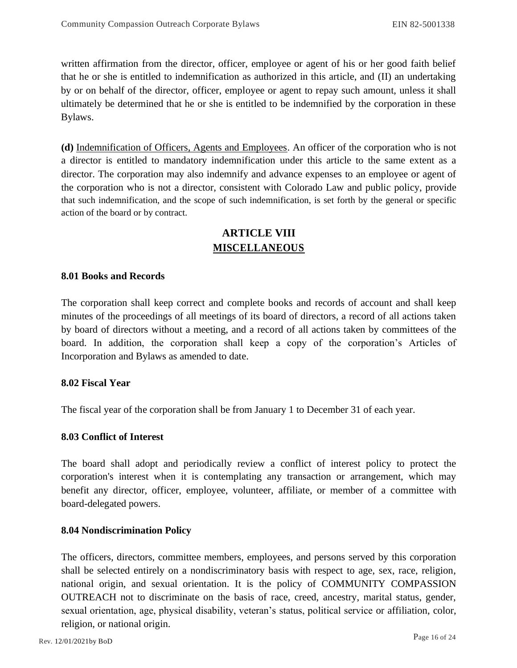written affirmation from the director, officer, employee or agent of his or her good faith belief that he or she is entitled to indemnification as authorized in this article, and (II) an undertaking by or on behalf of the director, officer, employee or agent to repay such amount, unless it shall ultimately be determined that he or she is entitled to be indemnified by the corporation in these Bylaws.

**(d)** Indemnification of Officers, Agents and Employees. An officer of the corporation who is not a director is entitled to mandatory indemnification under this article to the same extent as a director. The corporation may also indemnify and advance expenses to an employee or agent of the corporation who is not a director, consistent with Colorado Law and public policy, provide that such indemnification, and the scope of such indemnification, is set forth by the general or specific action of the board or by contract.

### **ARTICLE VIII MISCELLANEOUS**

### **8.01 Books and Records**

The corporation shall keep correct and complete books and records of account and shall keep minutes of the proceedings of all meetings of its board of directors, a record of all actions taken by board of directors without a meeting, and a record of all actions taken by committees of the board. In addition, the corporation shall keep a copy of the corporation's Articles of Incorporation and Bylaws as amended to date.

### **8.02 Fiscal Year**

The fiscal year of the corporation shall be from January 1 to December 31 of each year.

### **8.03 Conflict of Interest**

The board shall adopt and periodically review a conflict of interest policy to protect the corporation's interest when it is contemplating any transaction or arrangement, which may benefit any director, officer, employee, volunteer, affiliate, or member of a committee with board-delegated powers.

### **8.04 Nondiscrimination Policy**

The officers, directors, committee members, employees, and persons served by this corporation shall be selected entirely on a nondiscriminatory basis with respect to age, sex, race, religion, national origin, and sexual orientation. It is the policy of COMMUNITY COMPASSION OUTREACH not to discriminate on the basis of race, creed, ancestry, marital status, gender, sexual orientation, age, physical disability, veteran's status, political service or affiliation, color, religion, or national origin.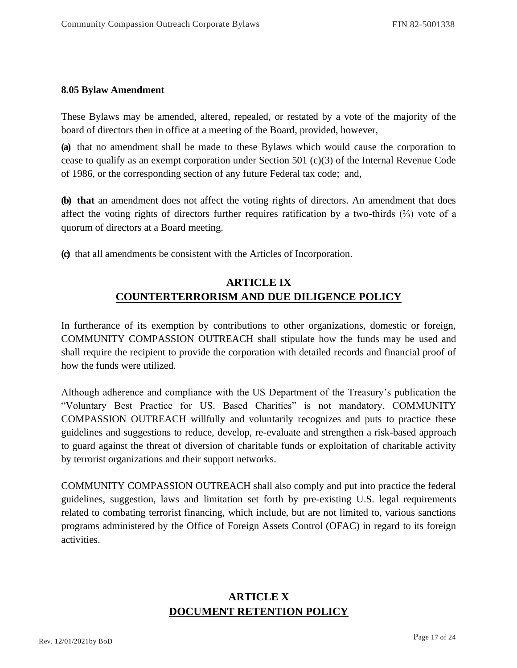### **8.05 Bylaw Amendment**

These Bylaws may be amended, altered, repealed, or restated by a vote of the majority of the board of directors then in office at a meeting of the Board, provided, however,

**(a)** that no amendment shall be made to these Bylaws which would cause the corporation to cease to qualify as an exempt corporation under Section 501 (c)(3) of the Internal Revenue Code of 1986, or the corresponding section of any future Federal tax code; and,

**(b) that** an amendment does not affect the voting rights of directors. An amendment that does affect the voting rights of directors further requires ratification by a two-thirds (⅔) vote of a quorum of directors at a Board meeting.

**(c)** that all amendments be consistent with the Articles of Incorporation.

### **ARTICLE IX COUNTERTERRORISM AND DUE DILIGENCE POLICY**

In furtherance of its exemption by contributions to other organizations, domestic or foreign, COMMUNITY COMPASSION OUTREACH shall stipulate how the funds may be used and shall require the recipient to provide the corporation with detailed records and financial proof of how the funds were utilized.

Although adherence and compliance with the US Department of the Treasury's publication the "Voluntary Best Practice for US. Based Charities" is not mandatory, COMMUNITY COMPASSION OUTREACH willfully and voluntarily recognizes and puts to practice these guidelines and suggestions to reduce, develop, re-evaluate and strengthen a risk-based approach to guard against the threat of diversion of charitable funds or exploitation of charitable activity by terrorist organizations and their support networks.

COMMUNITY COMPASSION OUTREACH shall also comply and put into practice the federal guidelines, suggestion, laws and limitation set forth by pre-existing U.S. legal requirements related to combating terrorist financing, which include, but are not limited to, various sanctions programs administered by the Office of Foreign Assets Control (OFAC) in regard to its foreign activities.

# **ARTICLE X DOCUMENT RETENTION POLICY**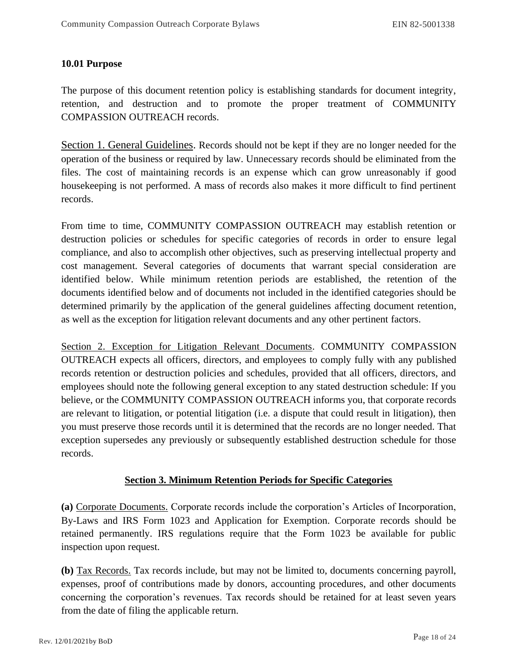### **10.01 Purpose**

The purpose of this document retention policy is establishing standards for document integrity, retention, and destruction and to promote the proper treatment of COMMUNITY COMPASSION OUTREACH records.

Section 1. General Guidelines. Records should not be kept if they are no longer needed for the operation of the business or required by law. Unnecessary records should be eliminated from the files. The cost of maintaining records is an expense which can grow unreasonably if good housekeeping is not performed. A mass of records also makes it more difficult to find pertinent records.

From time to time, COMMUNITY COMPASSION OUTREACH may establish retention or destruction policies or schedules for specific categories of records in order to ensure legal compliance, and also to accomplish other objectives, such as preserving intellectual property and cost management. Several categories of documents that warrant special consideration are identified below. While minimum retention periods are established, the retention of the documents identified below and of documents not included in the identified categories should be determined primarily by the application of the general guidelines affecting document retention, as well as the exception for litigation relevant documents and any other pertinent factors.

Section 2. Exception for Litigation Relevant Documents. COMMUNITY COMPASSION OUTREACH expects all officers, directors, and employees to comply fully with any published records retention or destruction policies and schedules, provided that all officers, directors, and employees should note the following general exception to any stated destruction schedule: If you believe, or the COMMUNITY COMPASSION OUTREACH informs you, that corporate records are relevant to litigation, or potential litigation (i.e. a dispute that could result in litigation), then you must preserve those records until it is determined that the records are no longer needed. That exception supersedes any previously or subsequently established destruction schedule for those records.

### **Section 3. Minimum Retention Periods for Specific Categories**

**(a)** Corporate Documents. Corporate records include the corporation's Articles of Incorporation, By-Laws and IRS Form 1023 and Application for Exemption. Corporate records should be retained permanently. IRS regulations require that the Form 1023 be available for public inspection upon request.

**(b)** Tax Records. Tax records include, but may not be limited to, documents concerning payroll, expenses, proof of contributions made by donors, accounting procedures, and other documents concerning the corporation's revenues. Tax records should be retained for at least seven years from the date of filing the applicable return.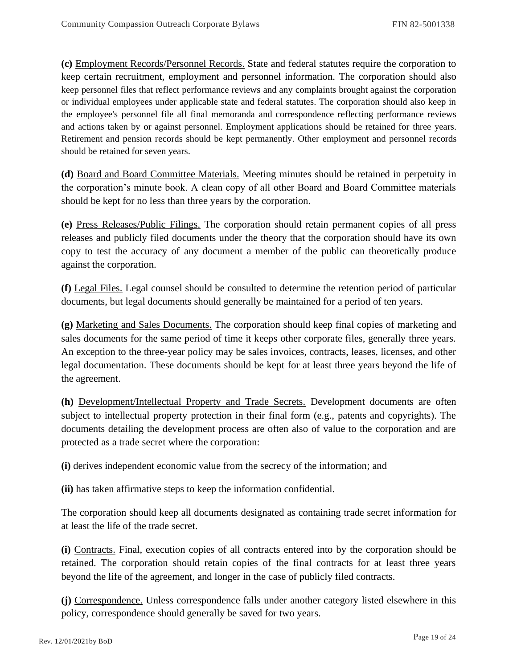**(c)** Employment Records/Personnel Records. State and federal statutes require the corporation to keep certain recruitment, employment and personnel information. The corporation should also keep personnel files that reflect performance reviews and any complaints brought against the corporation or individual employees under applicable state and federal statutes. The corporation should also keep in the employee's personnel file all final memoranda and correspondence reflecting performance reviews and actions taken by or against personnel. Employment applications should be retained for three years. Retirement and pension records should be kept permanently. Other employment and personnel records should be retained for seven years.

**(d)** Board and Board Committee Materials. Meeting minutes should be retained in perpetuity in the corporation's minute book. A clean copy of all other Board and Board Committee materials should be kept for no less than three years by the corporation.

**(e)** Press Releases/Public Filings. The corporation should retain permanent copies of all press releases and publicly filed documents under the theory that the corporation should have its own copy to test the accuracy of any document a member of the public can theoretically produce against the corporation.

**(f)** Legal Files. Legal counsel should be consulted to determine the retention period of particular documents, but legal documents should generally be maintained for a period of ten years.

**(g)** Marketing and Sales Documents. The corporation should keep final copies of marketing and sales documents for the same period of time it keeps other corporate files, generally three years. An exception to the three-year policy may be sales invoices, contracts, leases, licenses, and other legal documentation. These documents should be kept for at least three years beyond the life of the agreement.

**(h)** Development/Intellectual Property and Trade Secrets. Development documents are often subject to intellectual property protection in their final form (e.g., patents and copyrights). The documents detailing the development process are often also of value to the corporation and are protected as a trade secret where the corporation:

**(i)** derives independent economic value from the secrecy of the information; and

**(ii)** has taken affirmative steps to keep the information confidential.

The corporation should keep all documents designated as containing trade secret information for at least the life of the trade secret.

**(i)** Contracts. Final, execution copies of all contracts entered into by the corporation should be retained. The corporation should retain copies of the final contracts for at least three years beyond the life of the agreement, and longer in the case of publicly filed contracts.

**(j)** Correspondence. Unless correspondence falls under another category listed elsewhere in this policy, correspondence should generally be saved for two years.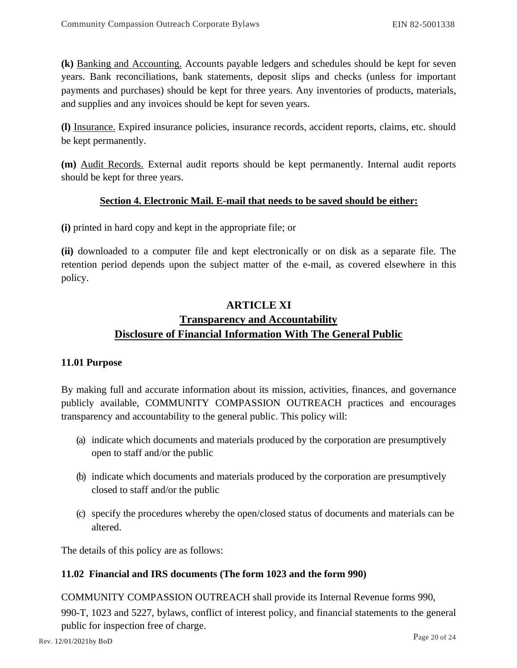**(k)** Banking and Accounting. Accounts payable ledgers and schedules should be kept for seven years. Bank reconciliations, bank statements, deposit slips and checks (unless for important payments and purchases) should be kept for three years. Any inventories of products, materials, and supplies and any invoices should be kept for seven years.

**(l)** Insurance. Expired insurance policies, insurance records, accident reports, claims, etc. should be kept permanently.

**(m)** Audit Records. External audit reports should be kept permanently. Internal audit reports should be kept for three years.

### **Section 4. Electronic Mail. E-mail that needs to be saved should be either:**

**(i)** printed in hard copy and kept in the appropriate file; or

**(ii)** downloaded to a computer file and kept electronically or on disk as a separate file. The retention period depends upon the subject matter of the e-mail, as covered elsewhere in this policy.

### **ARTICLE XI Transparency and Accountability Disclosure of Financial Information With The General Public**

### **11.01 Purpose**

By making full and accurate information about its mission, activities, finances, and governance publicly available, COMMUNITY COMPASSION OUTREACH practices and encourages transparency and accountability to the general public. This policy will:

- (a) indicate which documents and materials produced by the corporation are presumptively open to staff and/or the public
- (b) indicate which documents and materials produced by the corporation are presumptively closed to staff and/or the public
- (c) specify the procedures whereby the open/closed status of documents and materials can be altered.

The details of this policy are as follows:

### **11.02 Financial and IRS documents (The form 1023 and the form 990)**

COMMUNITY COMPASSION OUTREACH shall provide its Internal Revenue forms 990, 990-T, 1023 and 5227, bylaws, conflict of interest policy, and financial statements to the general public for inspection free of charge.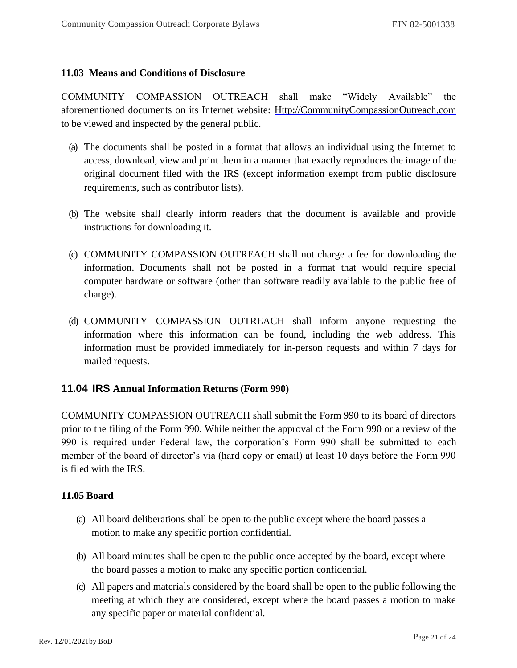### **11.03 Means and Conditions of Disclosure**

COMMUNITY COMPASSION OUTREACH shall make "Widely Available" the aforementioned documents on its Internet website: [Http://CommunityCompassionOutreach.com](http://communitycompassionoutreach.com/) to be viewed and inspected by the general public.

- (a) The documents shall be posted in a format that allows an individual using the Internet to access, download, view and print them in a manner that exactly reproduces the image of the original document filed with the IRS (except information exempt from public disclosure requirements, such as contributor lists).
- (b) The website shall clearly inform readers that the document is available and provide instructions for downloading it.
- (c) COMMUNITY COMPASSION OUTREACH shall not charge a fee for downloading the information. Documents shall not be posted in a format that would require special computer hardware or software (other than software readily available to the public free of charge).
- (d) COMMUNITY COMPASSION OUTREACH shall inform anyone requesting the information where this information can be found, including the web address. This information must be provided immediately for in-person requests and within 7 days for mailed requests.

### **11.04 IRS Annual Information Returns (Form 990)**

COMMUNITY COMPASSION OUTREACH shall submit the Form 990 to its board of directors prior to the filing of the Form 990. While neither the approval of the Form 990 or a review of the 990 is required under Federal law, the corporation's Form 990 shall be submitted to each member of the board of director's via (hard copy or email) at least 10 days before the Form 990 is filed with the IRS.

### **11.05 Board**

- (a) All board deliberations shall be open to the public except where the board passes a motion to make any specific portion confidential.
- (b) All board minutes shall be open to the public once accepted by the board, except where the board passes a motion to make any specific portion confidential.
- (c) All papers and materials considered by the board shall be open to the public following the meeting at which they are considered, except where the board passes a motion to make any specific paper or material confidential.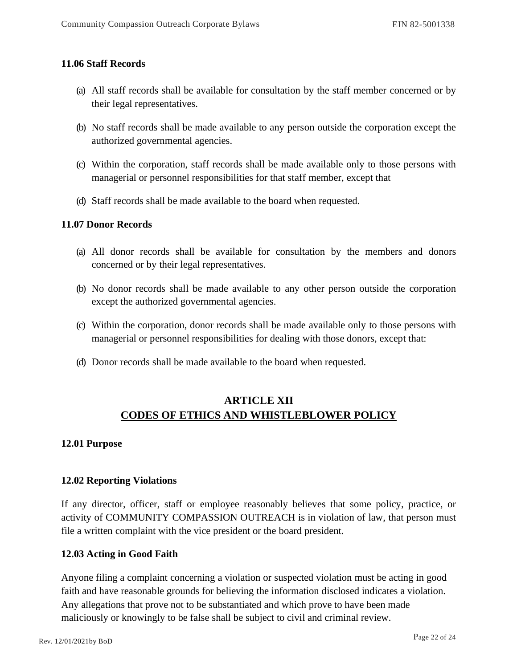### **11.06 Staff Records**

- (a) All staff records shall be available for consultation by the staff member concerned or by their legal representatives.
- (b) No staff records shall be made available to any person outside the corporation except the authorized governmental agencies.
- (c) Within the corporation, staff records shall be made available only to those persons with managerial or personnel responsibilities for that staff member, except that
- (d) Staff records shall be made available to the board when requested.

### **11.07 Donor Records**

- (a) All donor records shall be available for consultation by the members and donors concerned or by their legal representatives.
- (b) No donor records shall be made available to any other person outside the corporation except the authorized governmental agencies.
- (c) Within the corporation, donor records shall be made available only to those persons with managerial or personnel responsibilities for dealing with those donors, except that:
- (d) Donor records shall be made available to the board when requested.

### **ARTICLE XII CODES OF ETHICS AND WHISTLEBLOWER POLICY**

### **12.01 Purpose**

### **12.02 Reporting Violations**

If any director, officer, staff or employee reasonably believes that some policy, practice, or activity of COMMUNITY COMPASSION OUTREACH is in violation of law, that person must file a written complaint with the vice president or the board president.

### **12.03 Acting in Good Faith**

Anyone filing a complaint concerning a violation or suspected violation must be acting in good faith and have reasonable grounds for believing the information disclosed indicates a violation. Any allegations that prove not to be substantiated and which prove to have been made maliciously or knowingly to be false shall be subject to civil and criminal review.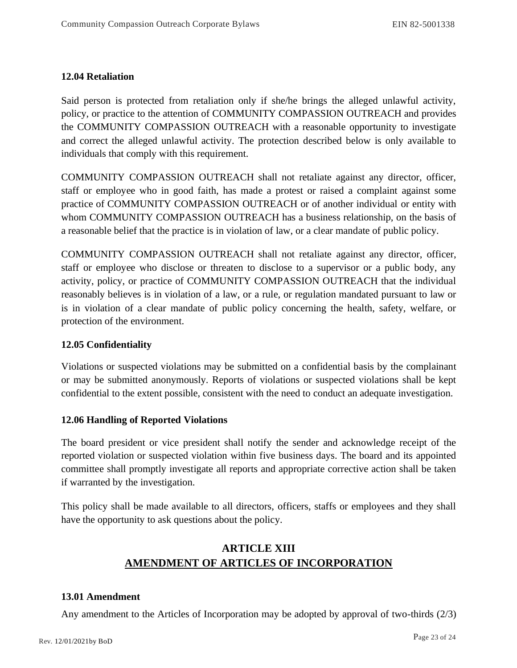### **12.04 Retaliation**

Said person is protected from retaliation only if she/he brings the alleged unlawful activity, policy, or practice to the attention of COMMUNITY COMPASSION OUTREACH and provides the COMMUNITY COMPASSION OUTREACH with a reasonable opportunity to investigate and correct the alleged unlawful activity. The protection described below is only available to individuals that comply with this requirement.

COMMUNITY COMPASSION OUTREACH shall not retaliate against any director, officer, staff or employee who in good faith, has made a protest or raised a complaint against some practice of COMMUNITY COMPASSION OUTREACH or of another individual or entity with whom COMMUNITY COMPASSION OUTREACH has a business relationship, on the basis of a reasonable belief that the practice is in violation of law, or a clear mandate of public policy.

COMMUNITY COMPASSION OUTREACH shall not retaliate against any director, officer, staff or employee who disclose or threaten to disclose to a supervisor or a public body, any activity, policy, or practice of COMMUNITY COMPASSION OUTREACH that the individual reasonably believes is in violation of a law, or a rule, or regulation mandated pursuant to law or is in violation of a clear mandate of public policy concerning the health, safety, welfare, or protection of the environment.

### **12.05 Confidentiality**

Violations or suspected violations may be submitted on a confidential basis by the complainant or may be submitted anonymously. Reports of violations or suspected violations shall be kept confidential to the extent possible, consistent with the need to conduct an adequate investigation.

### **12.06 Handling of Reported Violations**

The board president or vice president shall notify the sender and acknowledge receipt of the reported violation or suspected violation within five business days. The board and its appointed committee shall promptly investigate all reports and appropriate corrective action shall be taken if warranted by the investigation.

This policy shall be made available to all directors, officers, staffs or employees and they shall have the opportunity to ask questions about the policy.

### **ARTICLE XIII AMENDMENT OF ARTICLES OF INCORPORATION**

### **13.01 Amendment**

Any amendment to the Articles of Incorporation may be adopted by approval of two-thirds (2/3)